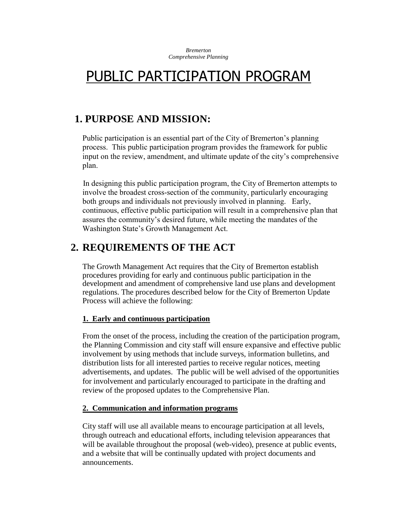*Bremerton Comprehensive Planning* 

# PUBLIC PARTICIPATION PROGRAM

# **1. PURPOSE AND MISSION:**

Public participation is an essential part of the City of Bremerton's planning process. This public participation program provides the framework for public input on the review, amendment, and ultimate update of the city's comprehensive plan.

In designing this public participation program, the City of Bremerton attempts to involve the broadest cross-section of the community, particularly encouraging both groups and individuals not previously involved in planning. Early, continuous, effective public participation will result in a comprehensive plan that assures the community's desired future, while meeting the mandates of the Washington State's Growth Management Act.

# **2. REQUIREMENTS OF THE ACT**

The Growth Management Act requires that the City of Bremerton establish procedures providing for early and continuous public participation in the development and amendment of comprehensive land use plans and development regulations. The procedures described below for the City of Bremerton Update Process will achieve the following:

#### **1. Early and continuous participation**

From the onset of the process, including the creation of the participation program, the Planning Commission and city staff will ensure expansive and effective public involvement by using methods that include surveys, information bulletins, and distribution lists for all interested parties to receive regular notices, meeting advertisements, and updates. The public will be well advised of the opportunities for involvement and particularly encouraged to participate in the drafting and review of the proposed updates to the Comprehensive Plan.

# **2. Communication and information programs**

City staff will use all available means to encourage participation at all levels, through outreach and educational efforts, including television appearances that will be available throughout the proposal (web-video), presence at public events, and a website that will be continually updated with project documents and announcements.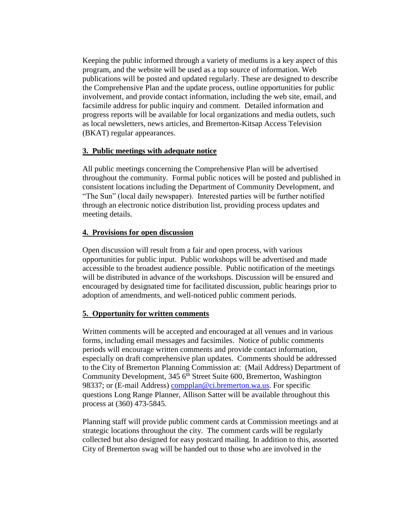Keeping the public informed through a variety of mediums is a key aspect of this program, and the website will be used as a top source of information. Web publications will be posted and updated regularly. These are designed to describe the Comprehensive Plan and the update process, outline opportunities for public involvement, and provide contact information, including the web site, email, and facsimile address for public inquiry and comment. Detailed information and progress reports will be available for local organizations and media outlets, such as local newsletters, news articles, and Bremerton-Kitsap Access Television (BKAT) regular appearances.

#### **3. Public meetings with adequate notice**

All public meetings concerning the Comprehensive Plan will be advertised throughout the community. Formal public notices will be posted and published in consistent locations including the Department of Community Development, and "The Sun" (local daily newspaper). Interested parties will be further notified through an electronic notice distribution list, providing process updates and meeting details.

#### **4. Provisions for open discussion**

Open discussion will result from a fair and open process, with various opportunities for public input. Public workshops will be advertised and made accessible to the broadest audience possible. Public notification of the meetings will be distributed in advance of the workshops. Discussion will be ensured and encouraged by designated time for facilitated discussion, public hearings prior to adoption of amendments, and well-noticed public comment periods.

# **5. Opportunity for written comments**

Written comments will be accepted and encouraged at all venues and in various forms, including email messages and facsimiles. Notice of public comments periods will encourage written comments and provide contact information, especially on draft comprehensive plan updates. Comments should be addressed to the City of Bremerton Planning Commission at: (Mail Address) Department of Community Development, 345 6<sup>th</sup> Street Suite 600, Bremerton, Washington 98337; or (E-mail Address) [compplan@ci.bremerton.wa.us.](mailto:compplan@ci.bremerton.wa.us) For specific questions Long Range Planner, Allison Satter will be available throughout this process at (360) 473-5845.

Planning staff will provide public comment cards at Commission meetings and at strategic locations throughout the city. The comment cards will be regularly collected but also designed for easy postcard mailing. In addition to this, assorted City of Bremerton swag will be handed out to those who are involved in the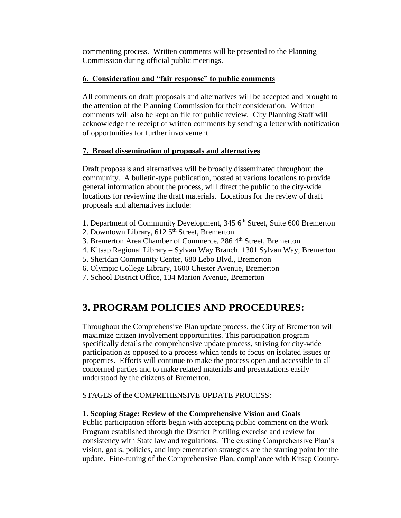commenting process. Written comments will be presented to the Planning Commission during official public meetings.

# **6. Consideration and "fair response" to public comments**

All comments on draft proposals and alternatives will be accepted and brought to the attention of the Planning Commission for their consideration. Written comments will also be kept on file for public review. City Planning Staff will acknowledge the receipt of written comments by sending a letter with notification of opportunities for further involvement.

# **7. Broad dissemination of proposals and alternatives**

Draft proposals and alternatives will be broadly disseminated throughout the community. A bulletin-type publication, posted at various locations to provide general information about the process, will direct the public to the city-wide locations for reviewing the draft materials. Locations for the review of draft proposals and alternatives include:

- 1. Department of Community Development,  $345\,6^{th}$  Street, Suite 600 Bremerton
- 2. Downtown Library,  $612\,5^{th}$  Street, Bremerton
- 3. Bremerton Area Chamber of Commerce, 286 4<sup>th</sup> Street, Bremerton
- 4. Kitsap Regional Library Sylvan Way Branch. 1301 Sylvan Way, Bremerton
- 5. Sheridan Community Center, 680 Lebo Blvd., Bremerton
- 6. Olympic College Library, 1600 Chester Avenue, Bremerton
- 7. School District Office, 134 Marion Avenue, Bremerton

# **3. PROGRAM POLICIES AND PROCEDURES:**

Throughout the Comprehensive Plan update process, the City of Bremerton will maximize citizen involvement opportunities. This participation program specifically details the comprehensive update process, striving for city-wide participation as opposed to a process which tends to focus on isolated issues or properties. Efforts will continue to make the process open and accessible to all concerned parties and to make related materials and presentations easily understood by the citizens of Bremerton.

# STAGES of the COMPREHENSIVE UPDATE PROCESS:

#### **1. Scoping Stage: Review of the Comprehensive Vision and Goals**

Public participation efforts begin with accepting public comment on the Work Program established through the District Profiling exercise and review for consistency with State law and regulations. The existing Comprehensive Plan's vision, goals, policies, and implementation strategies are the starting point for the update. Fine-tuning of the Comprehensive Plan, compliance with Kitsap County